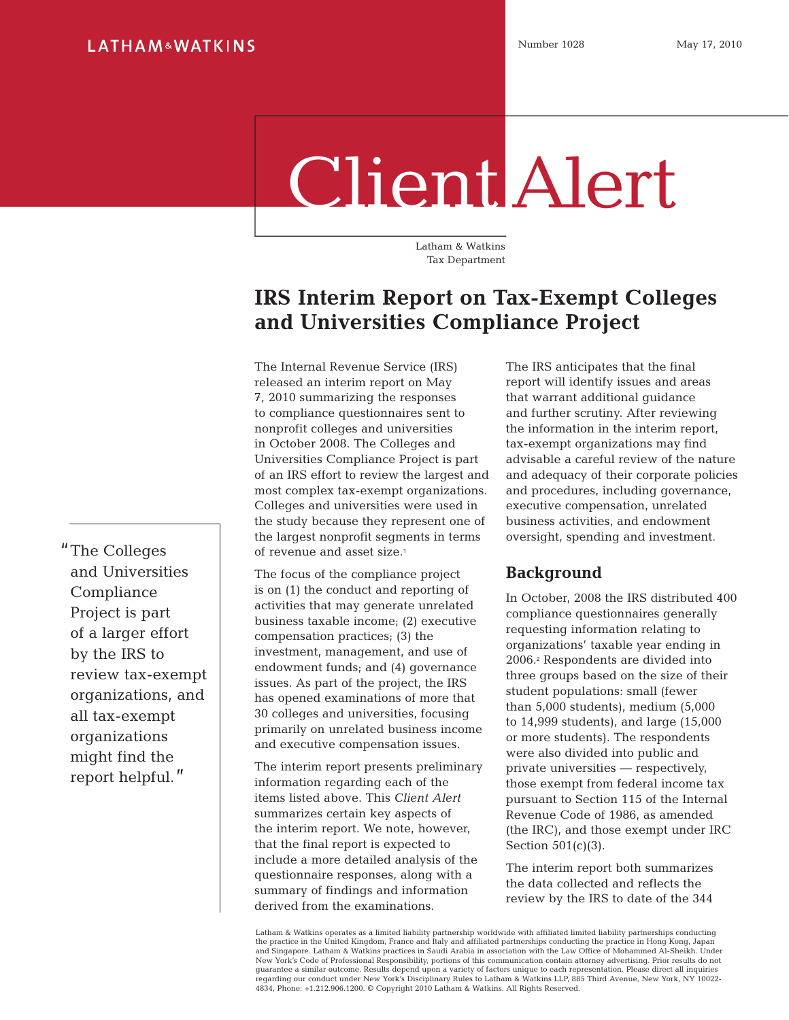# Client Alert

Latham & Watkins Tax Department

# **IRS Interim Report on Tax-Exempt Colleges and Universities Compliance Project**

The Internal Revenue Service (IRS) released an interim report on May 7, 2010 summarizing the responses to compliance questionnaires sent to nonprofit colleges and universities in October 2008. The Colleges and Universities Compliance Project is part of an IRS effort to review the largest and most complex tax-exempt organizations. Colleges and universities were used in the study because they represent one of the largest nonprofit segments in terms of revenue and asset size.<sup>1</sup>

The focus of the compliance project is on (1) the conduct and reporting of activities that may generate unrelated business taxable income; (2) executive compensation practices; (3) the investment, management, and use of endowment funds; and (4) governance issues. As part of the project, the IRS has opened examinations of more that 30 colleges and universities, focusing primarily on unrelated business income and executive compensation issues.

The interim report presents preliminary information regarding each of the items listed above. This *Client Alert* summarizes certain key aspects of the interim report. We note, however, that the final report is expected to include a more detailed analysis of the questionnaire responses, along with a summary of findings and information derived from the examinations.

The IRS anticipates that the final report will identify issues and areas that warrant additional guidance and further scrutiny. After reviewing the information in the interim report, tax-exempt organizations may find advisable a careful review of the nature and adequacy of their corporate policies and procedures, including governance, executive compensation, unrelated business activities, and endowment oversight, spending and investment.

### **Background**

In October, 2008 the IRS distributed 400 compliance questionnaires generally requesting information relating to organizations' taxable year ending in 2006.2 Respondents are divided into three groups based on the size of their student populations: small (fewer than 5,000 students), medium (5,000 to 14,999 students), and large (15,000 or more students). The respondents were also divided into public and private universities — respectively, those exempt from federal income tax pursuant to Section 115 of the Internal Revenue Code of 1986, as amended (the IRC), and those exempt under IRC Section  $501(c)(3)$ .

The interim report both summarizes the data collected and reflects the review by the IRS to date of the 344

Latham & Watkins operates as a limited liability partnership worldwide with affiliated limited liability partnerships conducting the practice in the United Kingdom, France and Italy and affiliated partnerships conducting the practice in Hong Kong, Japan and Singapore. Latham & Watkins practices in Saudi Arabia in association with the Law Office of Mohammed Al-Sheikh. Under New York's Code of Professional Responsibility, portions of this communication contain attorney advertising. Prior results do not guarantee a similar outcome. Results depend upon a variety of factors unique to each representation. Please direct all inquiries regarding our conduct under New York's Disciplinary Rules to Latham & Watkins LLP, 885 Third Avenue, New York, NY 10022- 4834, Phone: +1.212.906.1200. © Copyright 2010 Latham & Watkins. All Rights Reserved.

The Colleges and Universities Compliance Project is part of a larger effort by the IRS to review tax-exempt organizations, and all tax-exempt organizations might find the report helpful."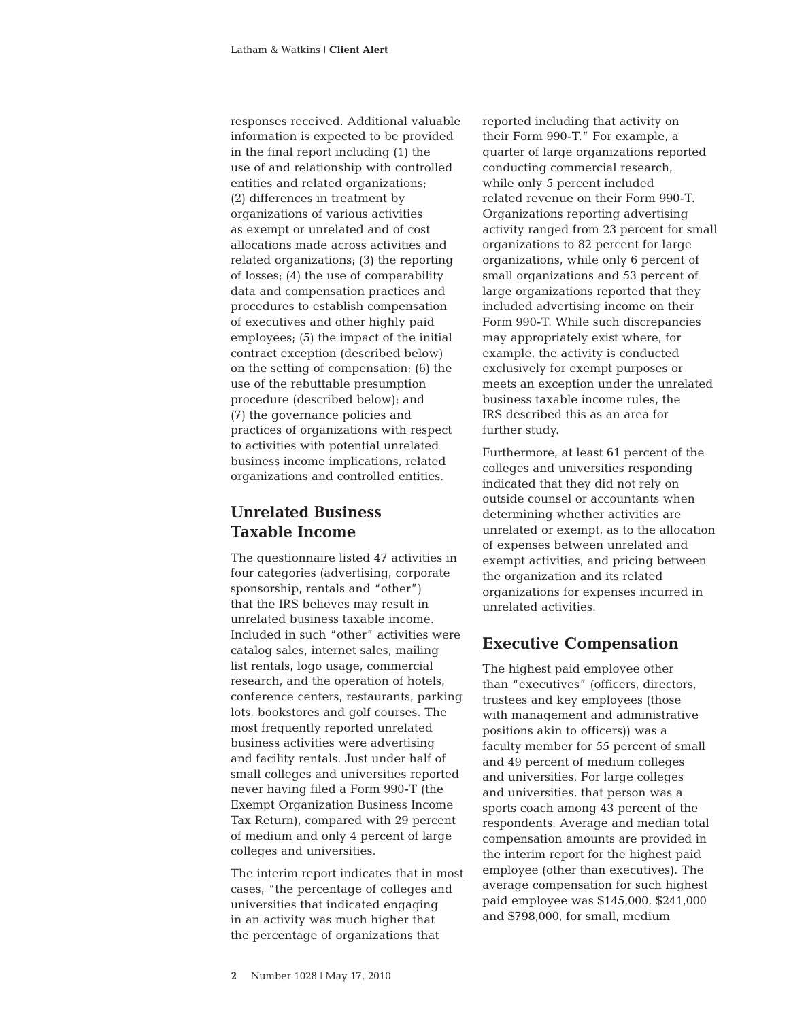responses received. Additional valuable information is expected to be provided in the final report including (1) the use of and relationship with controlled entities and related organizations; (2) differences in treatment by organizations of various activities as exempt or unrelated and of cost allocations made across activities and related organizations; (3) the reporting of losses; (4) the use of comparability data and compensation practices and procedures to establish compensation of executives and other highly paid employees; (5) the impact of the initial contract exception (described below) on the setting of compensation; (6) the use of the rebuttable presumption procedure (described below); and (7) the governance policies and practices of organizations with respect to activities with potential unrelated business income implications, related organizations and controlled entities.

# **Unrelated Business Taxable Income**

The questionnaire listed 47 activities in four categories (advertising, corporate sponsorship, rentals and "other") that the IRS believes may result in unrelated business taxable income. Included in such "other" activities were catalog sales, internet sales, mailing list rentals, logo usage, commercial research, and the operation of hotels, conference centers, restaurants, parking lots, bookstores and golf courses. The most frequently reported unrelated business activities were advertising and facility rentals. Just under half of small colleges and universities reported never having filed a Form 990-T (the Exempt Organization Business Income Tax Return), compared with 29 percent of medium and only 4 percent of large colleges and universities.

The interim report indicates that in most cases, "the percentage of colleges and universities that indicated engaging in an activity was much higher that the percentage of organizations that

reported including that activity on their Form 990-T." For example, a quarter of large organizations reported conducting commercial research, while only 5 percent included related revenue on their Form 990-T. Organizations reporting advertising activity ranged from 23 percent for small organizations to 82 percent for large organizations, while only 6 percent of small organizations and 53 percent of large organizations reported that they included advertising income on their Form 990-T. While such discrepancies may appropriately exist where, for example, the activity is conducted exclusively for exempt purposes or meets an exception under the unrelated business taxable income rules, the IRS described this as an area for further study.

Furthermore, at least 61 percent of the colleges and universities responding indicated that they did not rely on outside counsel or accountants when determining whether activities are unrelated or exempt, as to the allocation of expenses between unrelated and exempt activities, and pricing between the organization and its related organizations for expenses incurred in unrelated activities.

# **Executive Compensation**

The highest paid employee other than "executives" (officers, directors, trustees and key employees (those with management and administrative positions akin to officers)) was a faculty member for 55 percent of small and 49 percent of medium colleges and universities. For large colleges and universities, that person was a sports coach among 43 percent of the respondents. Average and median total compensation amounts are provided in the interim report for the highest paid employee (other than executives). The average compensation for such highest paid employee was \$145,000, \$241,000 and \$798,000, for small, medium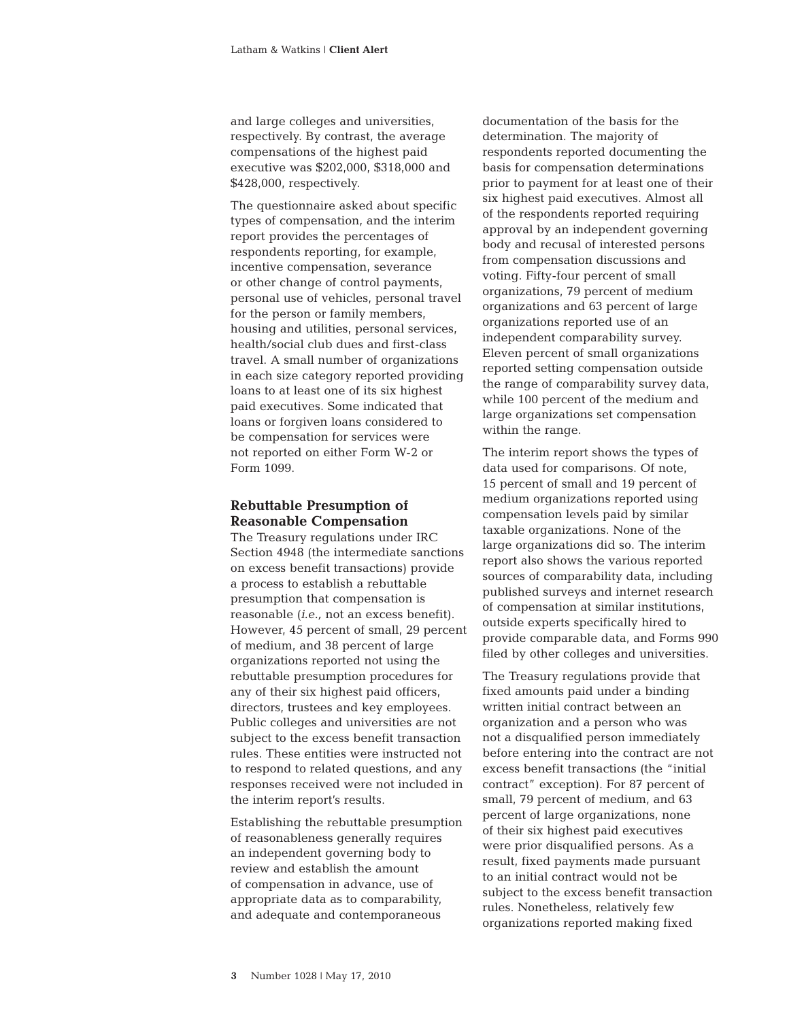and large colleges and universities, respectively. By contrast, the average compensations of the highest paid executive was \$202,000, \$318,000 and \$428,000, respectively.

The questionnaire asked about specific types of compensation, and the interim report provides the percentages of respondents reporting, for example, incentive compensation, severance or other change of control payments, personal use of vehicles, personal travel for the person or family members, housing and utilities, personal services, health/social club dues and first-class travel. A small number of organizations in each size category reported providing loans to at least one of its six highest paid executives. Some indicated that loans or forgiven loans considered to be compensation for services were not reported on either Form W-2 or Form 1099.

#### **Rebuttable Presumption of Reasonable Compensation**

The Treasury regulations under IRC Section 4948 (the intermediate sanctions on excess benefit transactions) provide a process to establish a rebuttable presumption that compensation is reasonable (*i.e.,* not an excess benefit). However, 45 percent of small, 29 percent of medium, and 38 percent of large organizations reported not using the rebuttable presumption procedures for any of their six highest paid officers, directors, trustees and key employees. Public colleges and universities are not subject to the excess benefit transaction rules. These entities were instructed not to respond to related questions, and any responses received were not included in the interim report's results.

Establishing the rebuttable presumption of reasonableness generally requires an independent governing body to review and establish the amount of compensation in advance, use of appropriate data as to comparability, and adequate and contemporaneous

documentation of the basis for the determination. The majority of respondents reported documenting the basis for compensation determinations prior to payment for at least one of their six highest paid executives. Almost all of the respondents reported requiring approval by an independent governing body and recusal of interested persons from compensation discussions and voting. Fifty-four percent of small organizations, 79 percent of medium organizations and 63 percent of large organizations reported use of an independent comparability survey. Eleven percent of small organizations reported setting compensation outside the range of comparability survey data, while 100 percent of the medium and large organizations set compensation within the range.

The interim report shows the types of data used for comparisons. Of note, 15 percent of small and 19 percent of medium organizations reported using compensation levels paid by similar taxable organizations. None of the large organizations did so. The interim report also shows the various reported sources of comparability data, including published surveys and internet research of compensation at similar institutions, outside experts specifically hired to provide comparable data, and Forms 990 filed by other colleges and universities.

The Treasury regulations provide that fixed amounts paid under a binding written initial contract between an organization and a person who was not a disqualified person immediately before entering into the contract are not excess benefit transactions (the "initial contract" exception). For 87 percent of small, 79 percent of medium, and 63 percent of large organizations, none of their six highest paid executives were prior disqualified persons. As a result, fixed payments made pursuant to an initial contract would not be subject to the excess benefit transaction rules. Nonetheless, relatively few organizations reported making fixed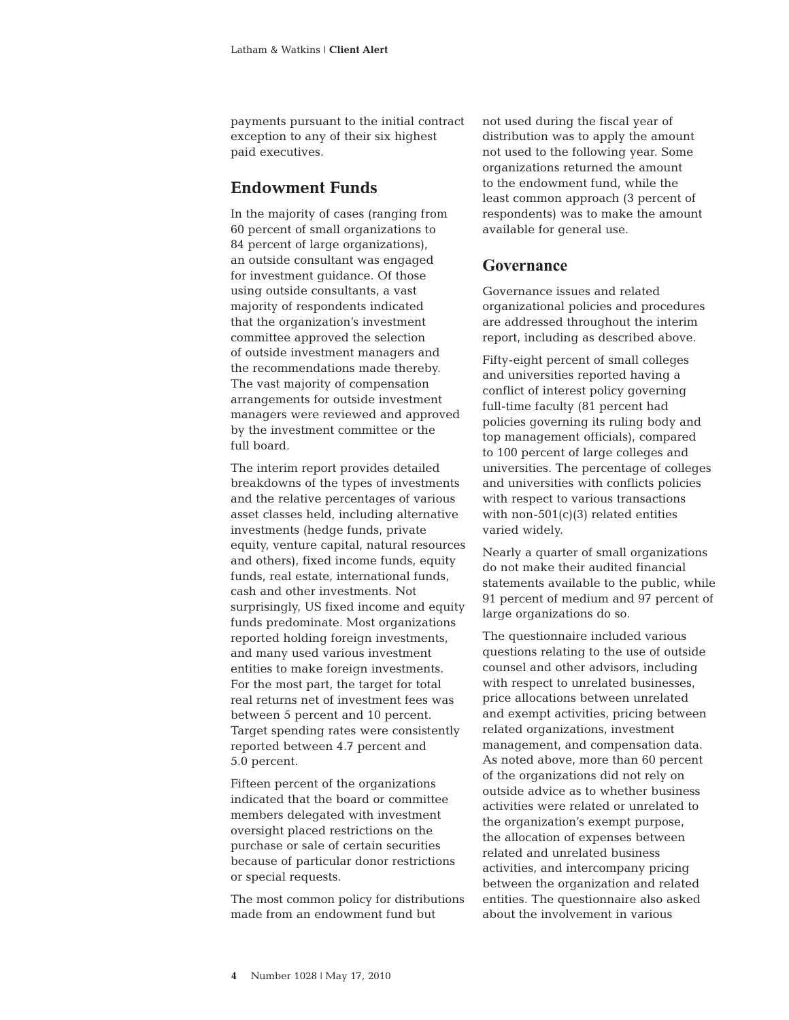payments pursuant to the initial contract exception to any of their six highest paid executives.

## **Endowment Funds**

In the majority of cases (ranging from 60 percent of small organizations to 84 percent of large organizations), an outside consultant was engaged for investment guidance. Of those using outside consultants, a vast majority of respondents indicated that the organization's investment committee approved the selection of outside investment managers and the recommendations made thereby. The vast majority of compensation arrangements for outside investment managers were reviewed and approved by the investment committee or the full board.

The interim report provides detailed breakdowns of the types of investments and the relative percentages of various asset classes held, including alternative investments (hedge funds, private equity, venture capital, natural resources and others), fixed income funds, equity funds, real estate, international funds, cash and other investments. Not surprisingly, US fixed income and equity funds predominate. Most organizations reported holding foreign investments, and many used various investment entities to make foreign investments. For the most part, the target for total real returns net of investment fees was between 5 percent and 10 percent. Target spending rates were consistently reported between 4.7 percent and 5.0 percent.

Fifteen percent of the organizations indicated that the board or committee members delegated with investment oversight placed restrictions on the purchase or sale of certain securities because of particular donor restrictions or special requests.

The most common policy for distributions made from an endowment fund but

not used during the fiscal year of distribution was to apply the amount not used to the following year. Some organizations returned the amount to the endowment fund, while the least common approach (3 percent of respondents) was to make the amount available for general use.

### **Governance**

Governance issues and related organizational policies and procedures are addressed throughout the interim report, including as described above.

Fifty-eight percent of small colleges and universities reported having a conflict of interest policy governing full-time faculty (81 percent had policies governing its ruling body and top management officials), compared to 100 percent of large colleges and universities. The percentage of colleges and universities with conflicts policies with respect to various transactions with non- $501(c)(3)$  related entities varied widely.

Nearly a quarter of small organizations do not make their audited financial statements available to the public, while 91 percent of medium and 97 percent of large organizations do so.

The questionnaire included various questions relating to the use of outside counsel and other advisors, including with respect to unrelated businesses, price allocations between unrelated and exempt activities, pricing between related organizations, investment management, and compensation data. As noted above, more than 60 percent of the organizations did not rely on outside advice as to whether business activities were related or unrelated to the organization's exempt purpose, the allocation of expenses between related and unrelated business activities, and intercompany pricing between the organization and related entities. The questionnaire also asked about the involvement in various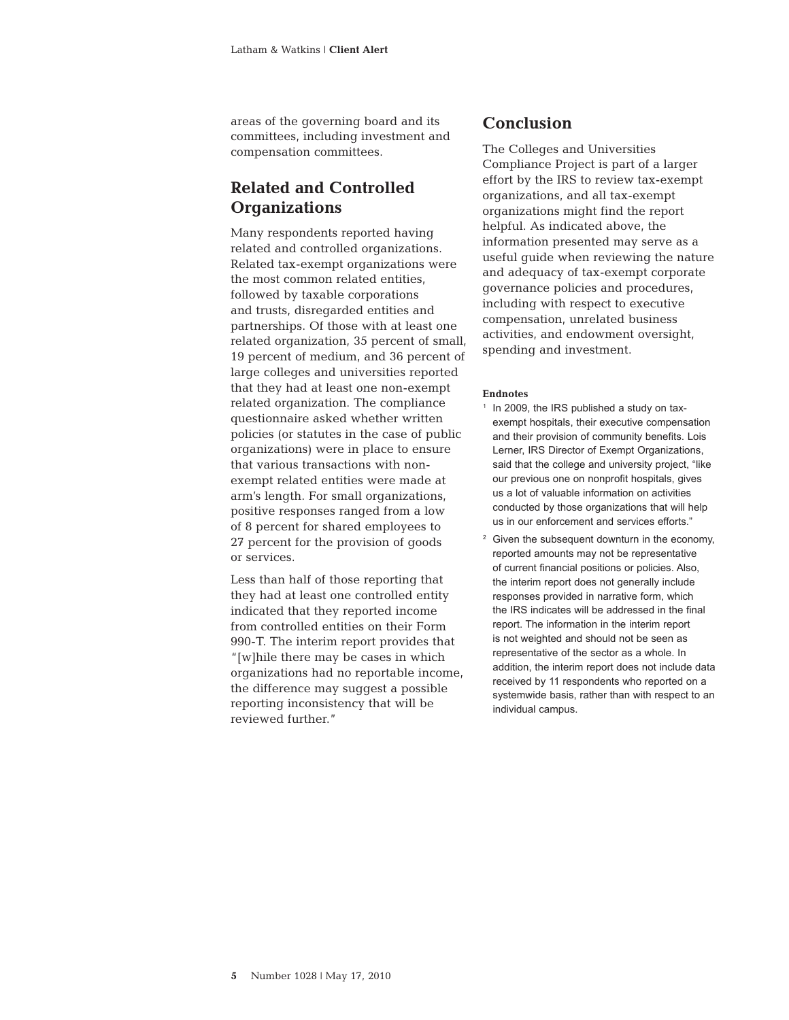areas of the governing board and its committees, including investment and compensation committees.

# **Related and Controlled Organizations**

Many respondents reported having related and controlled organizations. Related tax-exempt organizations were the most common related entities, followed by taxable corporations and trusts, disregarded entities and partnerships. Of those with at least one related organization, 35 percent of small, 19 percent of medium, and 36 percent of large colleges and universities reported that they had at least one non-exempt related organization. The compliance questionnaire asked whether written policies (or statutes in the case of public organizations) were in place to ensure that various transactions with nonexempt related entities were made at arm's length. For small organizations, positive responses ranged from a low of 8 percent for shared employees to 27 percent for the provision of goods or services.

Less than half of those reporting that they had at least one controlled entity indicated that they reported income from controlled entities on their Form 990-T. The interim report provides that "[w]hile there may be cases in which organizations had no reportable income, the difference may suggest a possible reporting inconsistency that will be reviewed further."

#### **Conclusion**

The Colleges and Universities Compliance Project is part of a larger effort by the IRS to review tax-exempt organizations, and all tax-exempt organizations might find the report helpful. As indicated above, the information presented may serve as a useful guide when reviewing the nature and adequacy of tax-exempt corporate governance policies and procedures, including with respect to executive compensation, unrelated business activities, and endowment oversight, spending and investment.

#### **Endnotes**

- $1$  In 2009, the IRS published a study on taxexempt hospitals, their executive compensation and their provision of community benefits. Lois Lerner, IRS Director of Exempt Organizations, said that the college and university project, "like our previous one on nonprofit hospitals, gives us a lot of valuable information on activities conducted by those organizations that will help us in our enforcement and services efforts."
- <sup>2</sup> Given the subsequent downturn in the economy, reported amounts may not be representative of current financial positions or policies. Also, the interim report does not generally include responses provided in narrative form, which the IRS indicates will be addressed in the final report. The information in the interim report is not weighted and should not be seen as representative of the sector as a whole. In addition, the interim report does not include data received by 11 respondents who reported on a systemwide basis, rather than with respect to an individual campus.